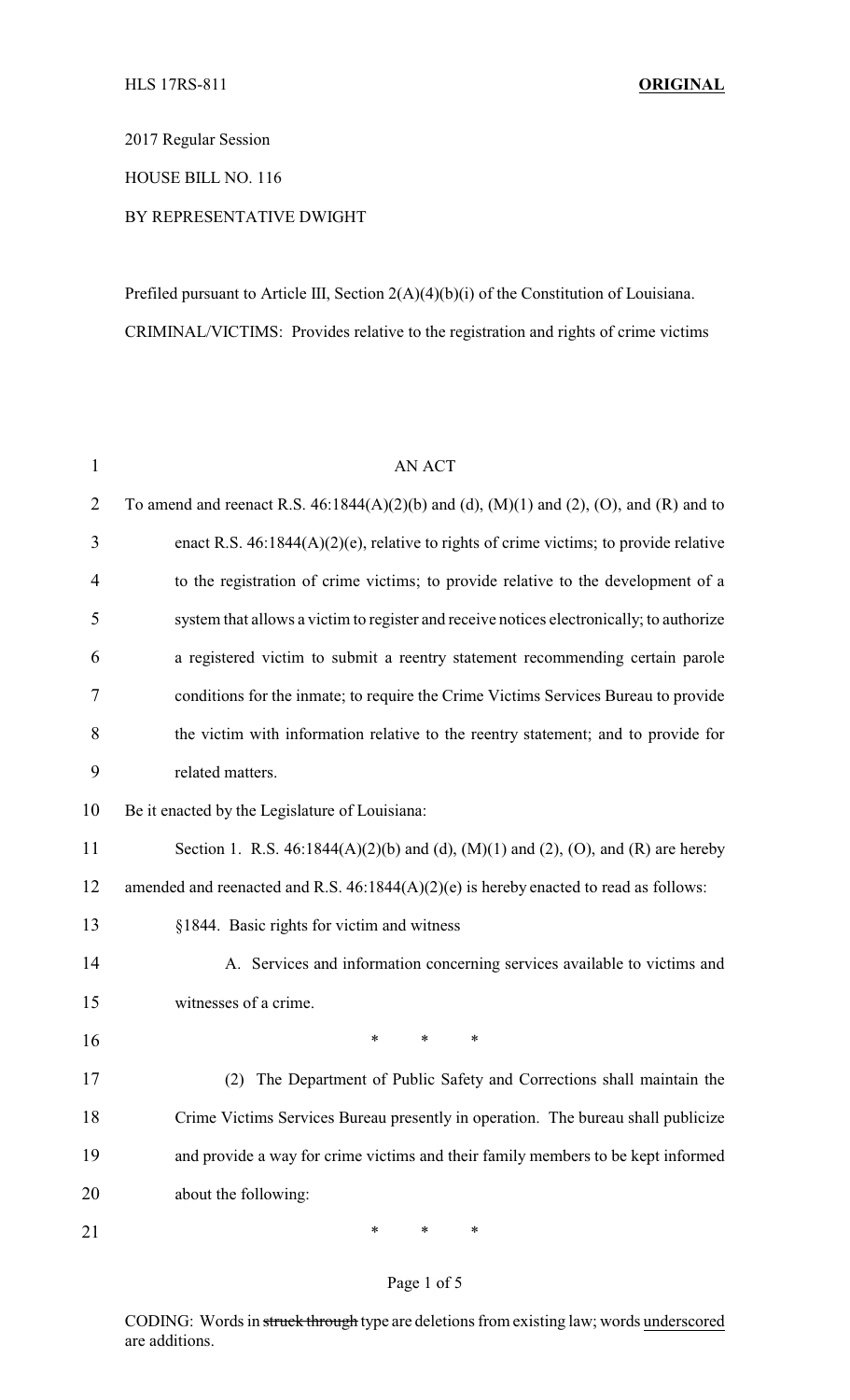2017 Regular Session

HOUSE BILL NO. 116

## BY REPRESENTATIVE DWIGHT

Prefiled pursuant to Article III, Section 2(A)(4)(b)(i) of the Constitution of Louisiana. CRIMINAL/VICTIMS: Provides relative to the registration and rights of crime victims

| $\mathbf{1}$   | <b>AN ACT</b>                                                                              |  |  |  |
|----------------|--------------------------------------------------------------------------------------------|--|--|--|
| $\overline{2}$ | To amend and reenact R.S. $46:1844(A)(2)(b)$ and (d), (M)(1) and (2), (O), and (R) and to  |  |  |  |
| 3              | enact R.S. $46:1844(A)(2)(e)$ , relative to rights of crime victims; to provide relative   |  |  |  |
| 4              | to the registration of crime victims; to provide relative to the development of a          |  |  |  |
| 5              | system that allows a victim to register and receive notices electronically; to authorize   |  |  |  |
| 6              | a registered victim to submit a reentry statement recommending certain parole              |  |  |  |
| 7              | conditions for the inmate; to require the Crime Victims Services Bureau to provide         |  |  |  |
| 8              | the victim with information relative to the reentry statement; and to provide for          |  |  |  |
| 9              | related matters.                                                                           |  |  |  |
| 10             | Be it enacted by the Legislature of Louisiana:                                             |  |  |  |
| 11             | Section 1. R.S. $46:1844(A)(2)(b)$ and (d), $(M)(1)$ and (2), $(O)$ , and $(R)$ are hereby |  |  |  |
| 12             | amended and reenacted and R.S. $46:1844(A)(2)(e)$ is hereby enacted to read as follows:    |  |  |  |
| 13             | §1844. Basic rights for victim and witness                                                 |  |  |  |
| 14             | A. Services and information concerning services available to victims and                   |  |  |  |
| 15             | witnesses of a crime.                                                                      |  |  |  |
| 16             | ∗<br>*<br>∗                                                                                |  |  |  |
| 17             | (2) The Department of Public Safety and Corrections shall maintain the                     |  |  |  |
| 18             | Crime Victims Services Bureau presently in operation. The bureau shall publicize           |  |  |  |
| 19             | and provide a way for crime victims and their family members to be kept informed           |  |  |  |
| 20             | about the following:                                                                       |  |  |  |
| 21             | $\ast$<br>∗<br>∗                                                                           |  |  |  |

## Page 1 of 5

CODING: Words in struck through type are deletions from existing law; words underscored are additions.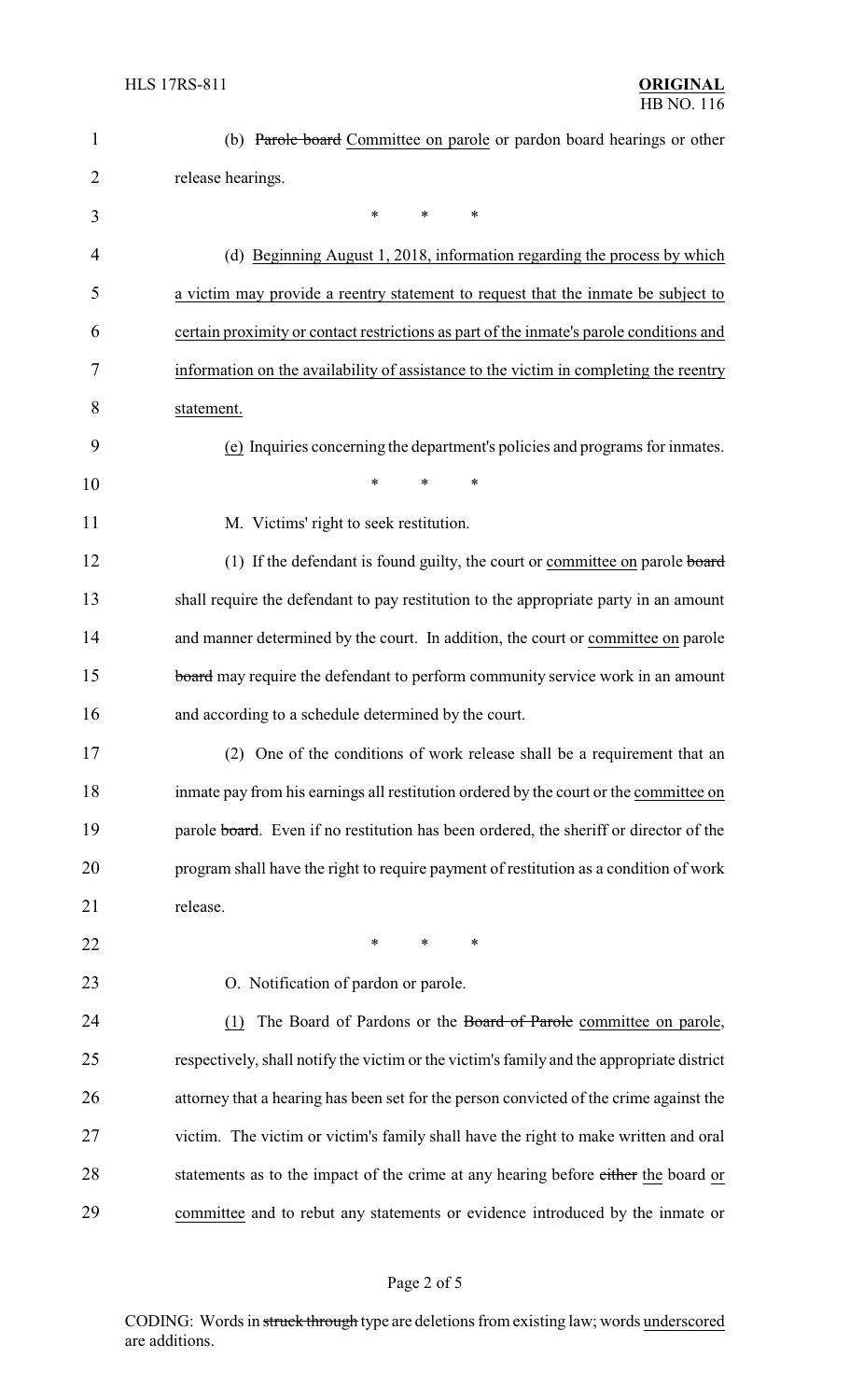| 1              | (b) Parole board Committee on parole or pardon board hearings or other                    |
|----------------|-------------------------------------------------------------------------------------------|
| 2              | release hearings.                                                                         |
| 3              | $\ast$<br>*<br>*                                                                          |
| $\overline{4}$ | (d) Beginning August 1, 2018, information regarding the process by which                  |
| 5              | a victim may provide a reentry statement to request that the inmate be subject to         |
| 6              | certain proximity or contact restrictions as part of the inmate's parole conditions and   |
| 7              | information on the availability of assistance to the victim in completing the reentry     |
| 8              | statement.                                                                                |
| 9              | (e) Inquiries concerning the department's policies and programs for inmates.              |
| 10             | $\ast$<br>$\ast$<br>*                                                                     |
| 11             | M. Victims' right to seek restitution.                                                    |
| 12             | (1) If the defendant is found guilty, the court or committee on parole board              |
| 13             | shall require the defendant to pay restitution to the appropriate party in an amount      |
| 14             | and manner determined by the court. In addition, the court or committee on parole         |
| 15             | board may require the defendant to perform community service work in an amount            |
| 16             | and according to a schedule determined by the court.                                      |
| 17             | (2) One of the conditions of work release shall be a requirement that an                  |
| 18             | inmate pay from his earnings all restitution ordered by the court or the committee on     |
| 19             | parole board. Even if no restitution has been ordered, the sheriff or director of the     |
| 20             | program shall have the right to require payment of restitution as a condition of work     |
| 21             | release.                                                                                  |
| 22             | *<br>*<br>∗                                                                               |
| 23             | O. Notification of pardon or parole.                                                      |
| 24             | The Board of Pardons or the Board of Parole committee on parole,<br>(1)                   |
| 25             | respectively, shall notify the victim or the victim's family and the appropriate district |
| 26             | attorney that a hearing has been set for the person convicted of the crime against the    |
| 27             | victim. The victim or victim's family shall have the right to make written and oral       |
| 28             | statements as to the impact of the crime at any hearing before either the board or        |
| 29             | committee and to rebut any statements or evidence introduced by the inmate or             |
|                |                                                                                           |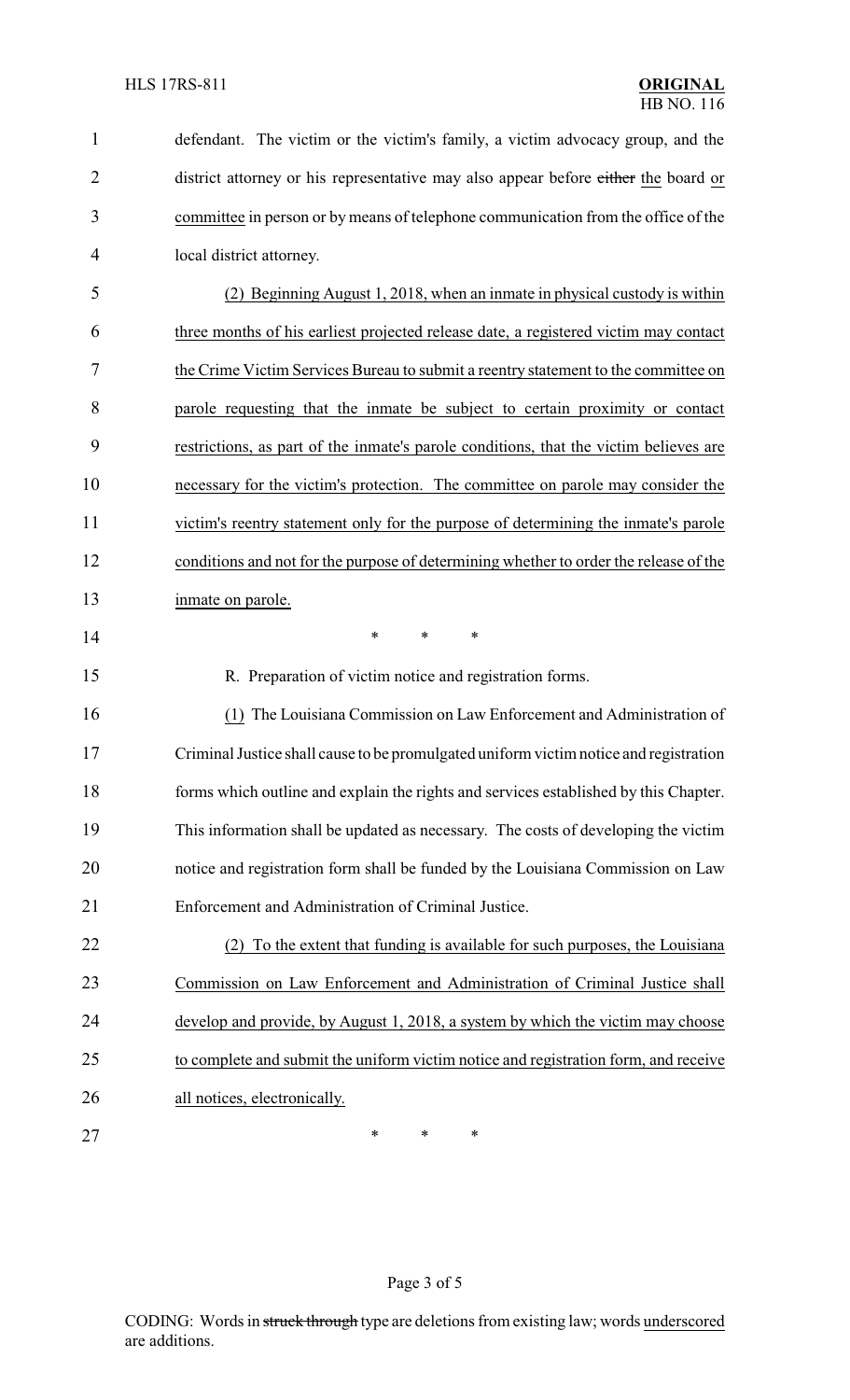| $\mathbf{1}$   | defendant. The victim or the victim's family, a victim advocacy group, and the        |
|----------------|---------------------------------------------------------------------------------------|
| $\overline{2}$ | district attorney or his representative may also appear before either the board or    |
| 3              | committee in person or by means of telephone communication from the office of the     |
| 4              | local district attorney.                                                              |
| 5              | (2) Beginning August 1, 2018, when an inmate in physical custody is within            |
| 6              | three months of his earliest projected release date, a registered victim may contact  |
| 7              | the Crime Victim Services Bureau to submit a reentry statement to the committee on    |
| 8              | parole requesting that the inmate be subject to certain proximity or contact          |
| 9              | restrictions, as part of the inmate's parole conditions, that the victim believes are |
| 10             | necessary for the victim's protection. The committee on parole may consider the       |
| 11             | victim's reentry statement only for the purpose of determining the inmate's parole    |
| 12             | conditions and not for the purpose of determining whether to order the release of the |
| 13             | inmate on parole.                                                                     |
| 14             | *<br>*<br>*                                                                           |
| 15             | R. Preparation of victim notice and registration forms.                               |
| 16             | (1) The Louisiana Commission on Law Enforcement and Administration of                 |
| 17             | Criminal Justice shall cause to be promulgated uniform victim notice and registration |
| 18             | forms which outline and explain the rights and services established by this Chapter.  |
| 19             | This information shall be updated as necessary. The costs of developing the victim    |
| 20             | notice and registration form shall be funded by the Louisiana Commission on Law       |
| 21             | Enforcement and Administration of Criminal Justice.                                   |
| 22             | (2) To the extent that funding is available for such purposes, the Louisiana          |
| 23             | Commission on Law Enforcement and Administration of Criminal Justice shall            |
| 24             | develop and provide, by August 1, 2018, a system by which the victim may choose       |
| 25             | to complete and submit the uniform victim notice and registration form, and receive   |
| 26             | all notices, electronically.                                                          |
| 27             | ∗<br>∗<br>∗                                                                           |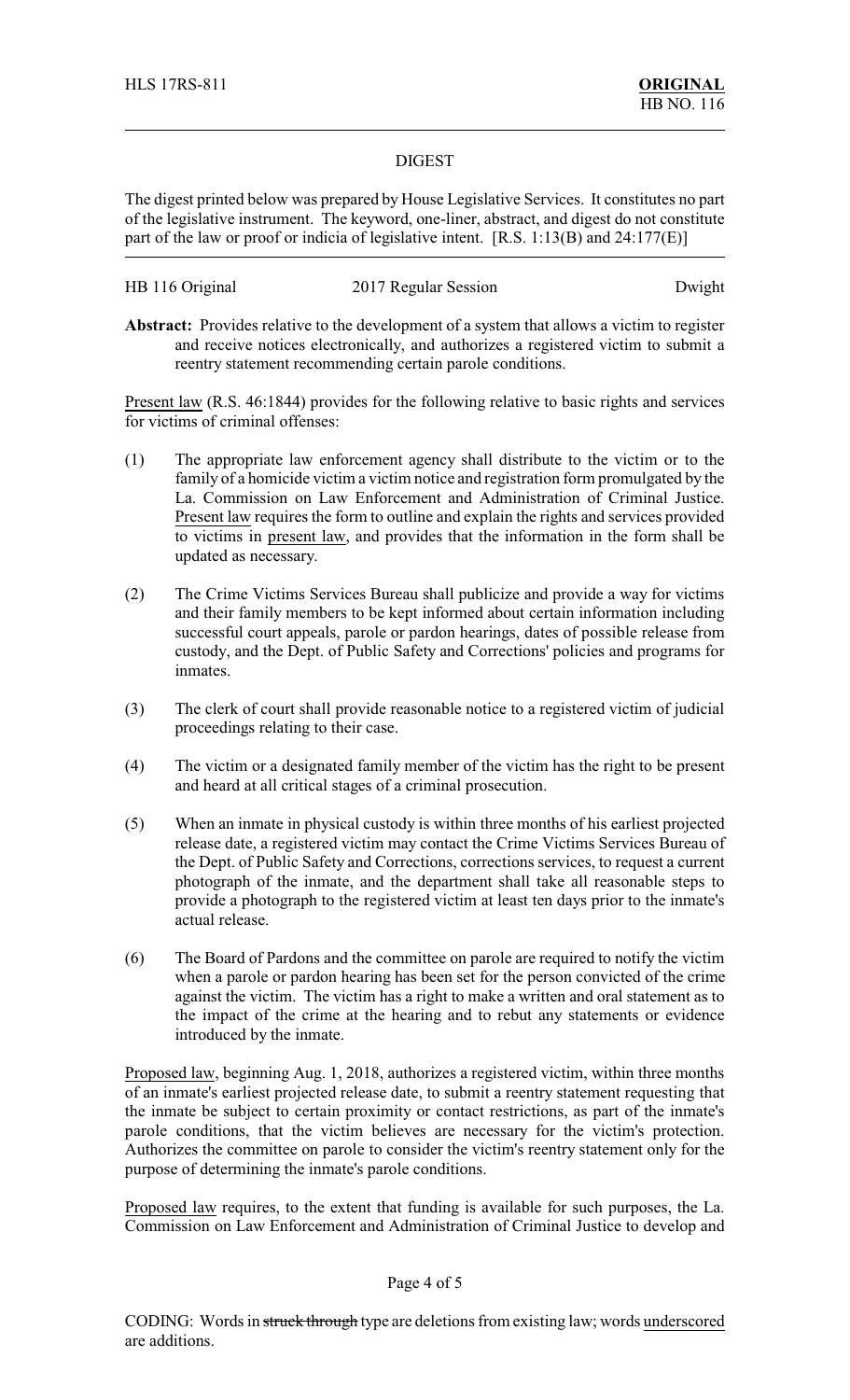## DIGEST

The digest printed below was prepared by House Legislative Services. It constitutes no part of the legislative instrument. The keyword, one-liner, abstract, and digest do not constitute part of the law or proof or indicia of legislative intent. [R.S. 1:13(B) and 24:177(E)]

| HB 116 Original | 2017 Regular Session | Dwight |
|-----------------|----------------------|--------|
|-----------------|----------------------|--------|

**Abstract:** Provides relative to the development of a system that allows a victim to register and receive notices electronically, and authorizes a registered victim to submit a reentry statement recommending certain parole conditions.

Present law (R.S. 46:1844) provides for the following relative to basic rights and services for victims of criminal offenses:

- (1) The appropriate law enforcement agency shall distribute to the victim or to the family of a homicide victim a victim notice and registration form promulgated by the La. Commission on Law Enforcement and Administration of Criminal Justice. Present law requires the form to outline and explain the rights and services provided to victims in present law, and provides that the information in the form shall be updated as necessary.
- (2) The Crime Victims Services Bureau shall publicize and provide a way for victims and their family members to be kept informed about certain information including successful court appeals, parole or pardon hearings, dates of possible release from custody, and the Dept. of Public Safety and Corrections' policies and programs for inmates.
- (3) The clerk of court shall provide reasonable notice to a registered victim of judicial proceedings relating to their case.
- (4) The victim or a designated family member of the victim has the right to be present and heard at all critical stages of a criminal prosecution.
- (5) When an inmate in physical custody is within three months of his earliest projected release date, a registered victim may contact the Crime Victims Services Bureau of the Dept. of Public Safety and Corrections, corrections services, to request a current photograph of the inmate, and the department shall take all reasonable steps to provide a photograph to the registered victim at least ten days prior to the inmate's actual release.
- (6) The Board of Pardons and the committee on parole are required to notify the victim when a parole or pardon hearing has been set for the person convicted of the crime against the victim. The victim has a right to make a written and oral statement as to the impact of the crime at the hearing and to rebut any statements or evidence introduced by the inmate.

Proposed law, beginning Aug. 1, 2018, authorizes a registered victim, within three months of an inmate's earliest projected release date, to submit a reentry statement requesting that the inmate be subject to certain proximity or contact restrictions, as part of the inmate's parole conditions, that the victim believes are necessary for the victim's protection. Authorizes the committee on parole to consider the victim's reentry statement only for the purpose of determining the inmate's parole conditions.

Proposed law requires, to the extent that funding is available for such purposes, the La. Commission on Law Enforcement and Administration of Criminal Justice to develop and

## Page 4 of 5